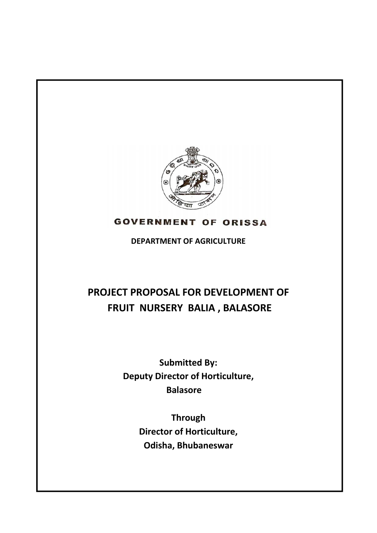

# **GOVERNMENT OF ORISSA**

**DEPARTMENT OF AGRICULTURE**

# **PROJECT PROPOSAL FOR DEVELOPMENT OF FRUIT NURSERY BALIA , BALASORE**

**Submitted By: Deputy Director of Horticulture, Balasore** 

> **Through Director of Horticulture, Odisha, Bhubaneswar**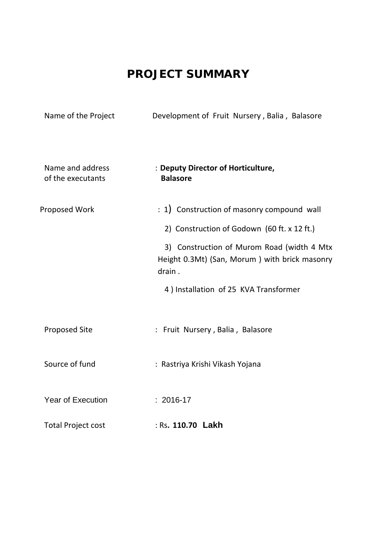# **PROJECT SUMMARY**

| Name of the Project                   | Development of Fruit Nursery, Balia, Balasore                                                         |
|---------------------------------------|-------------------------------------------------------------------------------------------------------|
| Name and address<br>of the executants | : Deputy Director of Horticulture,<br><b>Balasore</b>                                                 |
| Proposed Work                         | : 1) Construction of masonry compound wall                                                            |
|                                       | 2) Construction of Godown (60 ft. x 12 ft.)                                                           |
|                                       | 3) Construction of Murom Road (width 4 Mtx<br>Height 0.3Mt) (San, Morum) with brick masonry<br>drain. |
|                                       | 4) Installation of 25 KVA Transformer                                                                 |
| <b>Proposed Site</b>                  | : Fruit Nursery, Balia, Balasore                                                                      |
| Source of fund                        | : Rastriya Krishi Vikash Yojana                                                                       |
| <b>Year of Execution</b>              | $: 2016 - 17$                                                                                         |
| <b>Total Project cost</b>             | : Rs. 110.70 Lakh                                                                                     |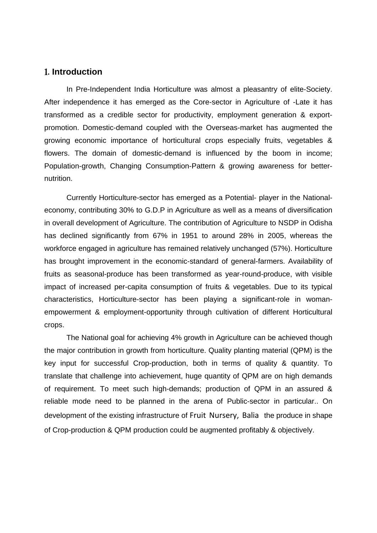#### 1**. Introduction**

In Pre-Independent India Horticulture was almost a pleasantry of elite-Society. After independence it has emerged as the Core-sector in Agriculture of -Late it has transformed as a credible sector for productivity, employment generation & exportpromotion. Domestic-demand coupled with the Overseas-market has augmented the growing economic importance of horticultural crops especially fruits, vegetables & flowers. The domain of domestic-demand is influenced by the boom in income; Population-growth, Changing Consumption-Pattern & growing awareness for betternutrition.

Currently Horticulture-sector has emerged as a Potential- player in the Nationaleconomy, contributing 30% to G.D.P in Agriculture as well as a means of diversification in overall development of Agriculture. The contribution of Agriculture to NSDP in Odisha has declined significantly from 67% in 1951 to around 28% in 2005, whereas the workforce engaged in agriculture has remained relatively unchanged (57%). Horticulture has brought improvement in the economic-standard of general-farmers. Availability of fruits as seasonal-produce has been transformed as year-round-produce, with visible impact of increased per-capita consumption of fruits & vegetables. Due to its typical characteristics, Horticulture-sector has been playing a significant-role in womanempowerment & employment-opportunity through cultivation of different Horticultural crops.

The National goal for achieving 4% growth in Agriculture can be achieved though the major contribution in growth from horticulture. Quality planting material (QPM) is the key input for successful Crop-production, both in terms of quality & quantity. To translate that challenge into achievement, huge quantity of QPM are on high demands of requirement. To meet such high-demands; production of QPM in an assured & reliable mode need to be planned in the arena of Public-sector in particular.. On development of the existing infrastructure of Fruit Nursery, Balia the produce in shape of Crop-production & QPM production could be augmented profitably & objectively.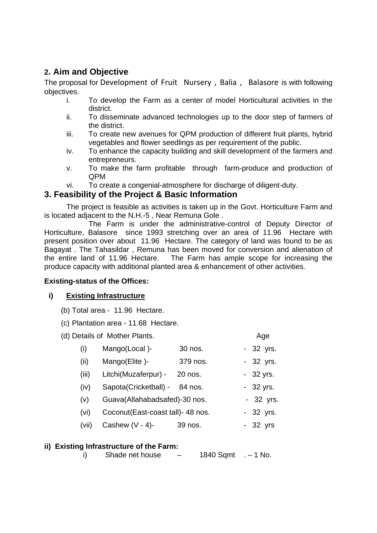## **2. Aim and Objective**

The proposal for Development of Fruit Nursery, Balia, Balasore is with following objectives.

- i. To develop the Farm as a center of model Horticultural activities in the district.
- ii. To disseminate advanced technologies up to the door step of farmers of the district.
- iii. To create new avenues for QPM production of different fruit plants, hybrid vegetables and flower seedlings as per requirement of the public.
- iv. To enhance the capacity building and skill development of the farmers and entrepreneurs.
- v. To make the farm profitable through farm-produce and production of QPM
- vi. To create a congenial-atmosphere for discharge of diligent-duty.

#### **3. Feasibility of the Project & Basic Information**

The project is feasible as activities is taken up in the Govt. Horticulture Farm and is located adjacent to the N.H.-5 , Near Remuna Gole .

 The Farm is under the administrative-control of Deputy Director of Horticulture, Balasore since 1993 stretching over an area of 11.96 Hectare with present position over about 11.96 Hectare. The category of land was found to be as Bagayat . The Tahasildar , Remuna has been moved for conversion and alienation of the entire land of 11.96 Hectare. The Farm has ample scope for increasing the produce capacity with additional planted area & enhancement of other activities.

#### **Existing-status of the Offices:**

#### **i) Existing Infrastructure**

- (b) Total area 11.96 Hectare.
- (c) Plantation area 11.68 Hectare.
- (d) Details of Mother Plants. Age

| (i)   | Mango(Local)-                     | 30 nos.  | - 32 yrs.  |
|-------|-----------------------------------|----------|------------|
| (ii)  | Mango(Elite)-                     | 379 nos. | - 32 yrs.  |
| (iii) | Litchi(Muzaferpur) -              | 20 nos.  | $-32$ yrs. |
| (iv)  | Sapota(Cricketball) -             | 84 nos.  | - 32 yrs.  |
| (v)   | Guava(Allahabadsafed)-30 nos.     |          | - 32 yrs.  |
| (vi)  | Coconut(East-coast tall)- 48 nos. |          | - 32 yrs.  |
| (vii) | Cashew $(V - 4)$ -                | 39 nos.  | - 32 yrs   |
|       |                                   |          |            |

#### **ii) Existing Infrastructure of the Farm:**

i) Shade net house  $-$  1840 Sqmt  $-$  1 No.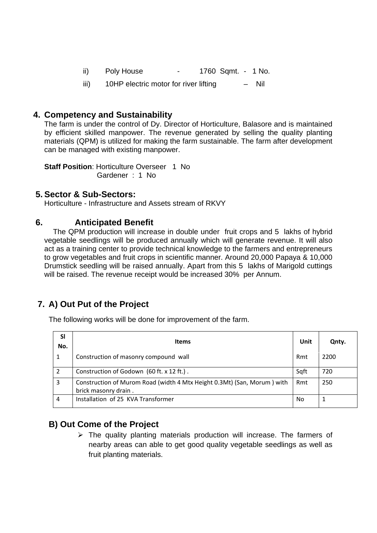- ii) Poly House 1760 Sqmt. 1 No.
- iii) 10HP electric motor for river lifting Nil

#### **4. Competency and Sustainability**

The farm is under the control of Dy. Director of Horticulture, Balasore and is maintained by efficient skilled manpower. The revenue generated by selling the quality planting materials (QPM) is utilized for making the farm sustainable. The farm after development can be managed with existing manpower.

**Staff Position: Horticulture Overseer 1 No** Gardener : 1 No

#### **5. Sector & Sub-Sectors:**

Horticulture - Infrastructure and Assets stream of RKVY

#### **6. Anticipated Benefit**

The QPM production will increase in double under fruit crops and 5 lakhs of hybrid vegetable seedlings will be produced annually which will generate revenue. It will also act as a training center to provide technical knowledge to the farmers and entrepreneurs to grow vegetables and fruit crops in scientific manner. Around 20,000 Papaya & 10,000 Drumstick seedling will be raised annually. Apart from this 5 lakhs of Marigold cuttings will be raised. The revenue receipt would be increased 30% per Annum.

# **7. A) Out Put of the Project**

The following works will be done for improvement of the farm.

| <b>SI</b><br>No. | <b>Items</b>                                                                                    | Unit | Qnty. |
|------------------|-------------------------------------------------------------------------------------------------|------|-------|
| 1                | Construction of masonry compound wall                                                           | Rmt  | 2200  |
| 2                | Construction of Godown (60 ft. x 12 ft.).                                                       | Sqft | 720   |
| 3                | Construction of Murom Road (width 4 Mtx Height 0.3Mt) (San, Morum) with<br>brick masonry drain. | Rmt  | 250   |
| 4                | Installation of 25 KVA Transformer                                                              | No   |       |

### **B) Out Come of the Project**

 $\triangleright$  The quality planting materials production will increase. The farmers of nearby areas can able to get good quality vegetable seedlings as well as fruit planting materials.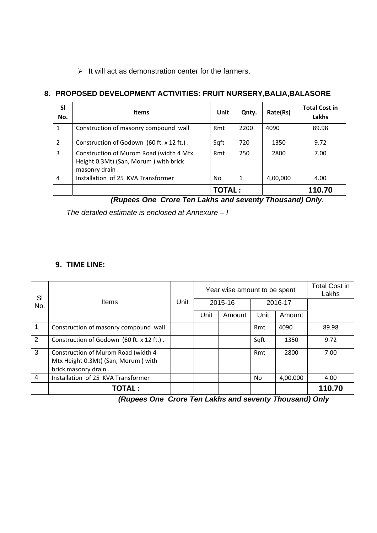$\triangleright$  It will act as demonstration center for the farmers.

#### **8. PROPOSED DEVELOPMENT ACTIVITIES: FRUIT NURSERY,BALIA,BALASORE**

| <b>SI</b><br>No. | <b>Items</b>                                                                                       | Unit    | Qnty. | Rate(Rs) | <b>Total Cost in</b><br>Lakhs |
|------------------|----------------------------------------------------------------------------------------------------|---------|-------|----------|-------------------------------|
| 1                | Construction of masonry compound wall                                                              | Rmt     | 2200  | 4090     | 89.98                         |
| $\overline{2}$   | Construction of Godown (60 ft. x 12 ft.).                                                          | Sqft    | 720   | 1350     | 9.72                          |
| 3                | Construction of Murom Road (width 4 Mtx<br>Height 0.3Mt) (San, Morum) with brick<br>masonry drain. | Rmt     | 250   | 2800     | 7.00                          |
| 4                | Installation of 25 KVA Transformer                                                                 | No      | 1     | 4,00,000 | 4.00                          |
|                  |                                                                                                    | TOTAL : |       |          | 110.70                        |

 *(Rupees One Crore Ten Lakhs and seventy Thousand) Only.* 

*The detailed estimate is enclosed at Annexure – I* 

#### **9. TIME LINE:**

| SI             | <b>Items</b>                                                                                       | Unit |         | Year wise amount to be spent | <b>Total Cost in</b><br>Lakhs |          |        |
|----------------|----------------------------------------------------------------------------------------------------|------|---------|------------------------------|-------------------------------|----------|--------|
| No.            |                                                                                                    |      | 2015-16 |                              | 2016-17                       |          |        |
|                |                                                                                                    |      | Unit    | Amount                       | Unit                          | Amount   |        |
| 1              | Construction of masonry compound wall                                                              |      |         |                              | Rmt                           | 4090     | 89.98  |
| 2              | Construction of Godown (60 ft. x 12 ft.).                                                          |      |         |                              | Sqft                          | 1350     | 9.72   |
| 3              | Construction of Murom Road (width 4<br>Mtx Height 0.3Mt) (San, Morum) with<br>brick masonry drain. |      |         |                              | Rmt                           | 2800     | 7.00   |
| $\overline{4}$ | Installation of 25 KVA Transformer                                                                 |      |         |                              | <b>No</b>                     | 4,00,000 | 4.00   |
|                | <b>TOTAL:</b>                                                                                      |      |         |                              |                               |          | 110.70 |

 *(Rupees One Crore Ten Lakhs and seventy Thousand) Only*